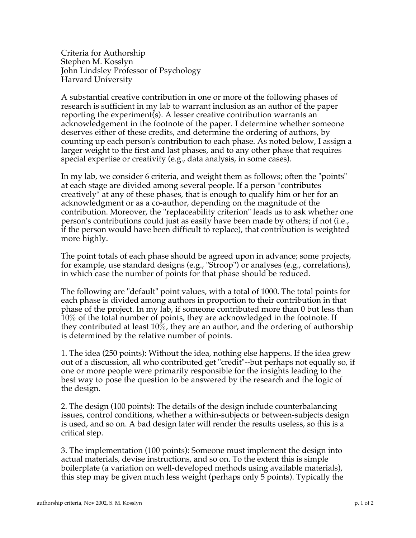Criteria for Authorship Stephen M. Kosslyn John Lindsley Professor of Psychology Harvard University

A substantial creative contribution in one or more of the following phases of research is sufficient in my lab to warrant inclusion as an author of the paper reporting the experiment(s). A lesser creative contribution warrants an acknowledgement in the footnote of the paper. I determine whether someone deserves either of these credits, and determine the ordering of authors, by counting up each person's contribution to each phase. As noted below, I assign a larger weight to the first and last phases, and to any other phase that requires special expertise or creativity (e.g., data analysis, in some cases).

In my lab, we consider 6 criteria, and weight them as follows; often the "points" at each stage are divided among several people. If a person \*contributes creatively\* at any of these phases, that is enough to qualify him or her for an acknowledgment or as a co-author, depending on the magnitude of the contribution. Moreover, the "replaceability criterion" leads us to ask whether one person's contributions could just as easily have been made by others; if not (i.e., if the person would have been difficult to replace), that contribution is weighted more highly.

The point totals of each phase should be agreed upon in advance; some projects, for example, use standard designs (e.g., "Stroop") or analyses (e.g., correlations), in which case the number of points for that phase should be reduced.

The following are "default" point values, with a total of 1000. The total points for each phase is divided among authors in proportion to their contribution in that phase of the project. In my lab, if someone contributed more than 0 but less than 10% of the total number of points, they are acknowledged in the footnote. If they contributed at least 10%, they are an author, and the ordering of authorship is determined by the relative number of points.

1. The idea (250 points): Without the idea, nothing else happens. If the idea grew out of a discussion, all who contributed get "credit"--but perhaps not equally so, if one or more people were primarily responsible for the insights leading to the best way to pose the question to be answered by the research and the logic of the design.

2. The design (100 points): The details of the design include counterbalancing issues, control conditions, whether a within-subjects or between-subjects design is used, and so on. A bad design later will render the results useless, so this is a critical step.

3. The implementation (100 points): Someone must implement the design into actual materials, devise instructions, and so on. To the extent this is simple boilerplate (a variation on well-developed methods using available materials), this step may be given much less weight (perhaps only 5 points). Typically the